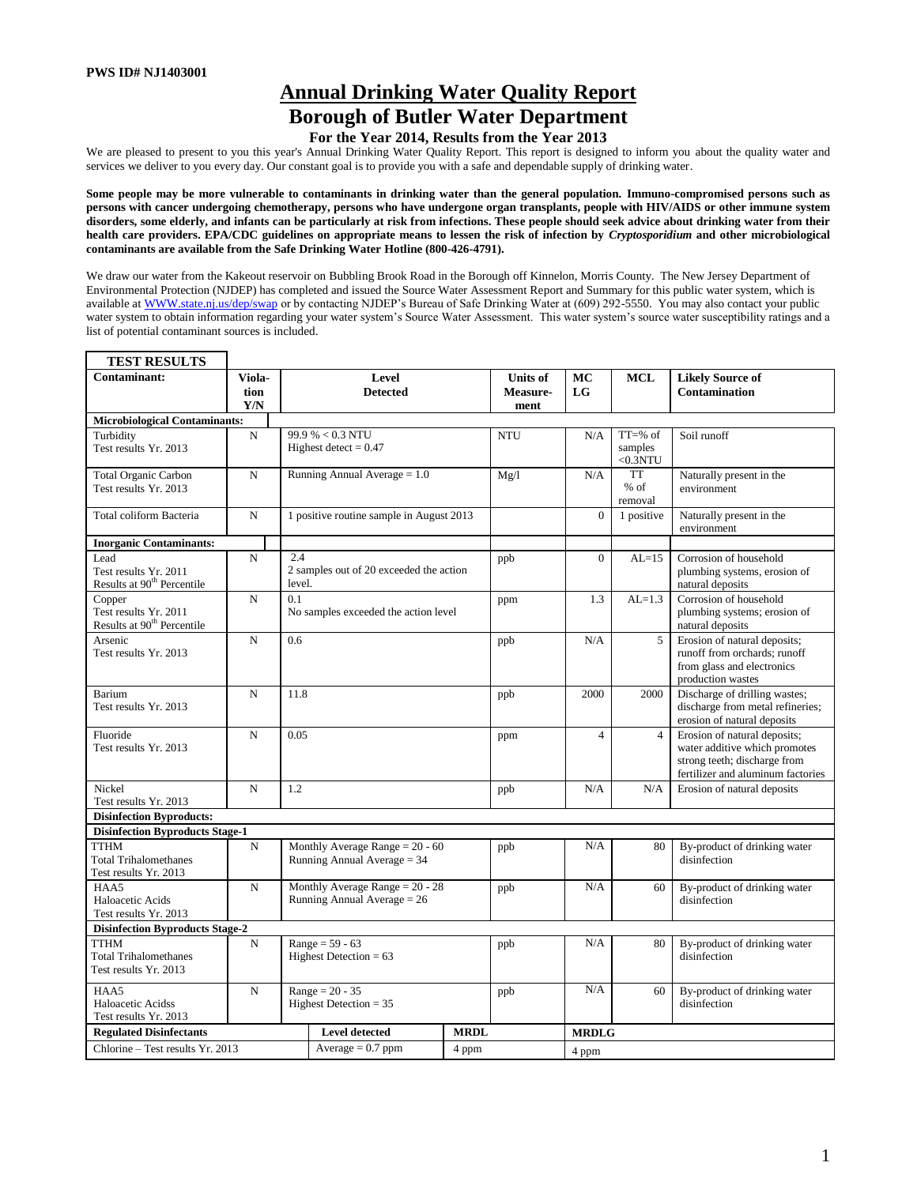# **Annual Drinking Water Quality Report Borough of Butler Water Department**

# **For the Year 2014, Results from the Year 2013**

We are pleased to present to you this year's Annual Drinking Water Quality Report. This report is designed to inform you about the quality water and services we deliver to you every day. Our constant goal is to provide you with a safe and dependable supply of drinking water.

**Some people may be more vulnerable to contaminants in drinking water than the general population. Immuno-compromised persons such as persons with cancer undergoing chemotherapy, persons who have undergone organ transplants, people with HIV/AIDS or other immune system disorders, some elderly, and infants can be particularly at risk from infections. These people should seek advice about drinking water from their health care providers. EPA/CDC guidelines on appropriate means to lessen the risk of infection by** *Cryptosporidium* **and other microbiological contaminants are available from the Safe Drinking Water Hotline (800-426-4791).** 

We draw our water from the Kakeout reservoir on Bubbling Brook Road in the Borough off Kinnelon, Morris County. The New Jersey Department of Environmental Protection (NJDEP) has completed and issued the Source Water Assessment Report and Summary for this public water system, which is available at WWW.state.nj.us/dep/swap or by contacting NJDEP's Bureau of Safe Drinking Water at (609) 292-5550. You may also contact your public water system to obtain information regarding your water system's Source Water Assessment. This water system's source water susceptibility ratings and a list of potential contaminant sources is included.

| <b>TEST RESULTS</b>                                                       |                       |               |                                                                  |                                     |            |                                  |                                                 |                                                                                                                                    |  |  |  |
|---------------------------------------------------------------------------|-----------------------|---------------|------------------------------------------------------------------|-------------------------------------|------------|----------------------------------|-------------------------------------------------|------------------------------------------------------------------------------------------------------------------------------------|--|--|--|
| Contaminant:                                                              | Viola-<br>tion<br>Y/N |               | Level<br><b>Detected</b>                                         | <b>Units of</b><br>Measure-<br>ment | MC<br>LG   | <b>MCL</b>                       | <b>Likely Source of</b><br><b>Contamination</b> |                                                                                                                                    |  |  |  |
| <b>Microbiological Contaminants:</b>                                      |                       |               |                                                                  |                                     |            |                                  |                                                 |                                                                                                                                    |  |  |  |
| Turbidity<br>Test results Yr. 2013                                        | $\mathbf N$           |               | 99.9 % < 0.3 NTU<br>Highest detect = $0.47$                      |                                     | <b>NTU</b> | N/A                              | $TT = % of$<br>samples<br>$<$ 0.3NTU            | Soil runoff                                                                                                                        |  |  |  |
| <b>Total Organic Carbon</b><br>Test results Yr. 2013                      | $\mathbf N$           |               | Running Annual Average $= 1.0$                                   |                                     | Mg/l       | N/A                              | TT<br>$%$ of<br>removal                         | Naturally present in the<br>environment                                                                                            |  |  |  |
| Total coliform Bacteria                                                   | $\mathbf N$           |               | 1 positive routine sample in August 2013                         |                                     |            | $\mathbf{0}$                     | 1 positive                                      | Naturally present in the<br>environment                                                                                            |  |  |  |
| <b>Inorganic Contaminants:</b>                                            |                       |               |                                                                  |                                     |            |                                  |                                                 |                                                                                                                                    |  |  |  |
| Lead<br>Test results Yr. 2011<br>Results at 90 <sup>th</sup> Percentile   | $\mathbf N$           | 2.4<br>level. | 2 samples out of 20 exceeded the action                          |                                     | ppb        | $\mathbf{0}$                     | $AL=15$                                         | Corrosion of household<br>plumbing systems, erosion of<br>natural deposits                                                         |  |  |  |
| Copper<br>Test results Yr. 2011<br>Results at 90 <sup>th</sup> Percentile | $\mathbf N$           | 0.1           | No samples exceeded the action level                             |                                     | ppm        | 1.3                              | $AL=1.3$                                        | Corrosion of household<br>plumbing systems; erosion of<br>natural deposits                                                         |  |  |  |
| Arsenic<br>Test results Yr. 2013                                          | $\mathbf N$           | 0.6           |                                                                  |                                     | ppb        | N/A                              | 5                                               | Erosion of natural deposits;<br>runoff from orchards; runoff<br>from glass and electronics<br>production wastes                    |  |  |  |
| Barium<br>Test results Yr. 2013                                           | $\mathbf N$           | 11.8          |                                                                  |                                     | ppb        | 2000                             | 2000                                            | Discharge of drilling wastes;<br>discharge from metal refineries;<br>erosion of natural deposits                                   |  |  |  |
| Fluoride<br>Test results Yr. 2013                                         | $\mathbf N$           | 0.05          |                                                                  |                                     | ppm        | $\overline{4}$<br>$\overline{4}$ |                                                 | Erosion of natural deposits;<br>water additive which promotes<br>strong teeth; discharge from<br>fertilizer and aluminum factories |  |  |  |
| Nickel<br>Test results Yr. 2013                                           | $\mathbf N$           | 1.2           |                                                                  |                                     | ppb        | N/A                              | N/A                                             | Erosion of natural deposits                                                                                                        |  |  |  |
| <b>Disinfection Byproducts:</b>                                           |                       |               |                                                                  |                                     |            |                                  |                                                 |                                                                                                                                    |  |  |  |
| <b>Disinfection Byproducts Stage-1</b>                                    |                       |               |                                                                  |                                     |            |                                  |                                                 |                                                                                                                                    |  |  |  |
| <b>TTHM</b><br><b>Total Trihalomethanes</b><br>Test results Yr. 2013      | $\mathbf N$           |               | Monthly Average Range = $20 - 60$<br>Running Annual Average = 34 |                                     | ppb        | N/A                              | 80                                              | By-product of drinking water<br>disinfection                                                                                       |  |  |  |
| HAA5<br>Haloacetic Acids<br>Test results Yr. 2013                         | $\mathbf N$           |               | Monthly Average Range = $20 - 28$<br>Running Annual Average = 26 |                                     | ppb        | N/A                              | 60                                              | By-product of drinking water<br>disinfection                                                                                       |  |  |  |
| <b>Disinfection Byproducts Stage-2</b>                                    |                       |               |                                                                  |                                     |            |                                  |                                                 |                                                                                                                                    |  |  |  |
| <b>TTHM</b><br><b>Total Trihalomethanes</b><br>Test results Yr. 2013      | $\mathbf N$           |               | Range = $59 - 63$<br>Highest Detection = $63$                    |                                     | ppb        | N/A<br>80                        |                                                 | By-product of drinking water<br>disinfection                                                                                       |  |  |  |
| HAA5<br>Haloacetic Acidss<br>Test results Yr. 2013                        | N                     |               | $Range = 20 - 35$<br>Highest Detection $= 35$                    |                                     | ppb        | N/A                              | 60                                              | By-product of drinking water<br>disinfection                                                                                       |  |  |  |
| <b>Regulated Disinfectants</b>                                            |                       |               | <b>Level detected</b>                                            | <b>MRDL</b>                         |            | <b>MRDLG</b>                     |                                                 |                                                                                                                                    |  |  |  |
| Chlorine - Test results Yr. 2013                                          |                       |               | Average $= 0.7$ ppm                                              | 4 ppm                               |            | 4 ppm                            |                                                 |                                                                                                                                    |  |  |  |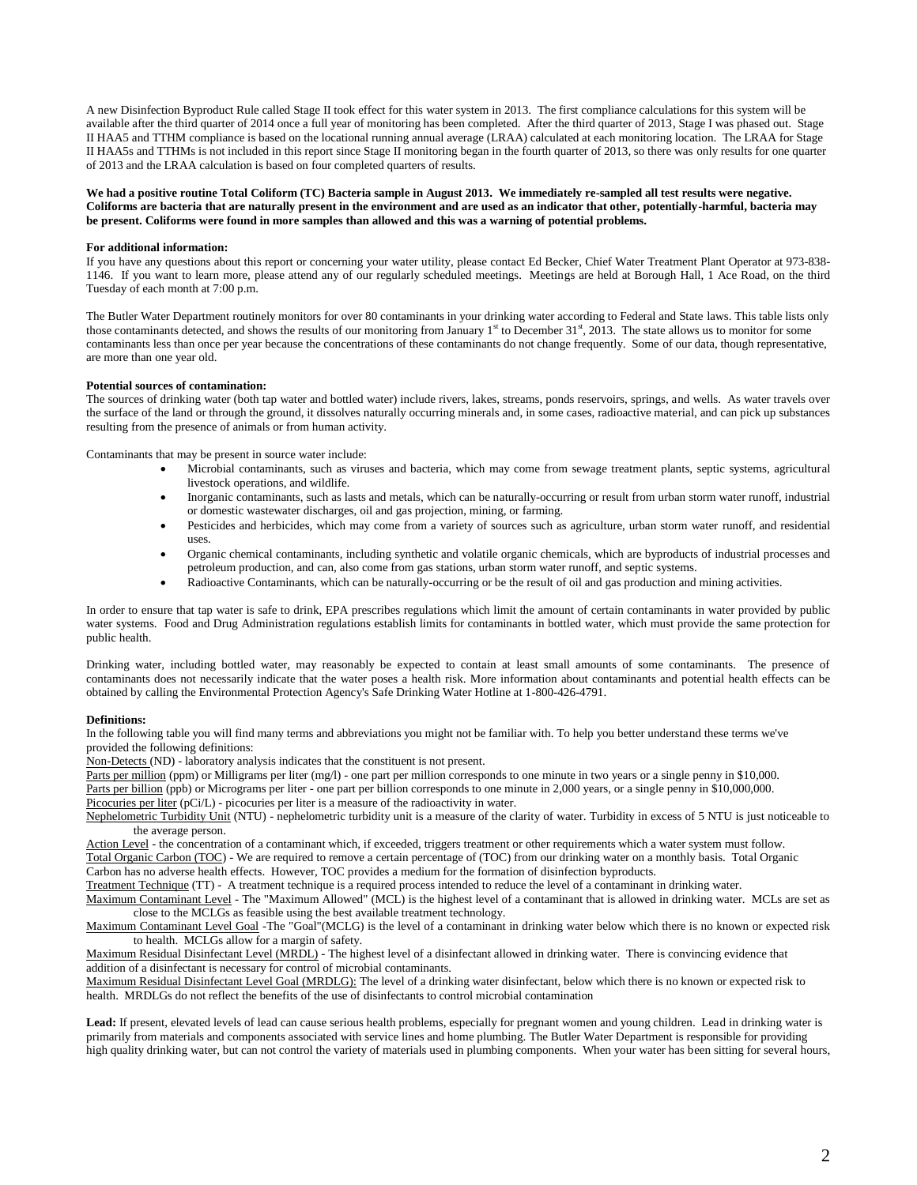A new Disinfection Byproduct Rule called Stage II took effect for this water system in 2013. The first compliance calculations for this system will be available after the third quarter of 2014 once a full year of monitoring has been completed. After the third quarter of 2013, Stage I was phased out. Stage II HAA5 and TTHM compliance is based on the locational running annual average (LRAA) calculated at each monitoring location. The LRAA for Stage II HAA5s and TTHMs is not included in this report since Stage II monitoring began in the fourth quarter of 2013, so there was only results for one quarter of 2013 and the LRAA calculation is based on four completed quarters of results.

**We had a positive routine Total Coliform (TC) Bacteria sample in August 2013. We immediately re-sampled all test results were negative. Coliforms are bacteria that are naturally present in the environment and are used as an indicator that other, potentially-harmful, bacteria may be present. Coliforms were found in more samples than allowed and this was a warning of potential problems.**

### **For additional information:**

If you have any questions about this report or concerning your water utility, please contact Ed Becker, Chief Water Treatment Plant Operator at 973-838- 1146. If you want to learn more, please attend any of our regularly scheduled meetings. Meetings are held at Borough Hall, 1 Ace Road, on the third Tuesday of each month at 7:00 p.m.

The Butler Water Department routinely monitors for over 80 contaminants in your drinking water according to Federal and State laws. This table lists only those contaminants detected, and shows the results of our monitoring from January 1<sup>st</sup> to December 31<sup>st</sup>, 2013. The state allows us to monitor for some contaminants less than once per year because the concentrations of these contaminants do not change frequently. Some of our data, though representative, are more than one year old.

#### **Potential sources of contamination:**

The sources of drinking water (both tap water and bottled water) include rivers, lakes, streams, ponds reservoirs, springs, and wells. As water travels over the surface of the land or through the ground, it dissolves naturally occurring minerals and, in some cases, radioactive material, and can pick up substances resulting from the presence of animals or from human activity.

Contaminants that may be present in source water include:

- Microbial contaminants, such as viruses and bacteria, which may come from sewage treatment plants, septic systems, agricultural livestock operations, and wildlife.
- Inorganic contaminants, such as lasts and metals, which can be naturally-occurring or result from urban storm water runoff, industrial or domestic wastewater discharges, oil and gas projection, mining, or farming.
- Pesticides and herbicides, which may come from a variety of sources such as agriculture, urban storm water runoff, and residential uses.
- Organic chemical contaminants, including synthetic and volatile organic chemicals, which are byproducts of industrial processes and petroleum production, and can, also come from gas stations, urban storm water runoff, and septic systems.
- Radioactive Contaminants, which can be naturally-occurring or be the result of oil and gas production and mining activities.

In order to ensure that tap water is safe to drink, EPA prescribes regulations which limit the amount of certain contaminants in water provided by public water systems. Food and Drug Administration regulations establish limits for contaminants in bottled water, which must provide the same protection for public health.

Drinking water, including bottled water, may reasonably be expected to contain at least small amounts of some contaminants. The presence of contaminants does not necessarily indicate that the water poses a health risk. More information about contaminants and potential health effects can be obtained by calling the Environmental Protection Agency's Safe Drinking Water Hotline at 1-800-426-4791.

## **Definitions:**

In the following table you will find many terms and abbreviations you might not be familiar with. To help you better understand these terms we've provided the following definitions:

Non-Detects (ND) - laboratory analysis indicates that the constituent is not present.

Parts per million (ppm) or Milligrams per liter (mg/l) - one part per million corresponds to one minute in two years or a single penny in \$10,000. Parts per billion (ppb) or Micrograms per liter - one part per billion corresponds to one minute in 2,000 years, or a single penny in \$10,000,000. Picocuries per liter (pCi/L) - picocuries per liter is a measure of the radioactivity in water.

Nephelometric Turbidity Unit (NTU) - nephelometric turbidity unit is a measure of the clarity of water. Turbidity in excess of 5 NTU is just noticeable to the average person.

Action Level - the concentration of a contaminant which, if exceeded, triggers treatment or other requirements which a water system must follow. Total Organic Carbon (TOC) - We are required to remove a certain percentage of (TOC) from our drinking water on a monthly basis. Total Organic Carbon has no adverse health effects. However, TOC provides a medium for the formation of disinfection byproducts.

Treatment Technique (TT) - A treatment technique is a required process intended to reduce the level of a contaminant in drinking water. Maximum Contaminant Level - The "Maximum Allowed" (MCL) is the highest level of a contaminant that is allowed in drinking water. MCLs are set as close to the MCLGs as feasible using the best available treatment technology.

Maximum Contaminant Level Goal -The "Goal"(MCLG) is the level of a contaminant in drinking water below which there is no known or expected risk to health. MCLGs allow for a margin of safety.

Maximum Residual Disinfectant Level (MRDL) - The highest level of a disinfectant allowed in drinking water. There is convincing evidence that addition of a disinfectant is necessary for control of microbial contaminants.

Maximum Residual Disinfectant Level Goal (MRDLG): The level of a drinking water disinfectant, below which there is no known or expected risk to health. MRDLGs do not reflect the benefits of the use of disinfectants to control microbial contamination

**Lead:** If present, elevated levels of lead can cause serious health problems, especially for pregnant women and young children. Lead in drinking water is primarily from materials and components associated with service lines and home plumbing. The Butler Water Department is responsible for providing high quality drinking water, but can not control the variety of materials used in plumbing components. When your water has been sitting for several hours,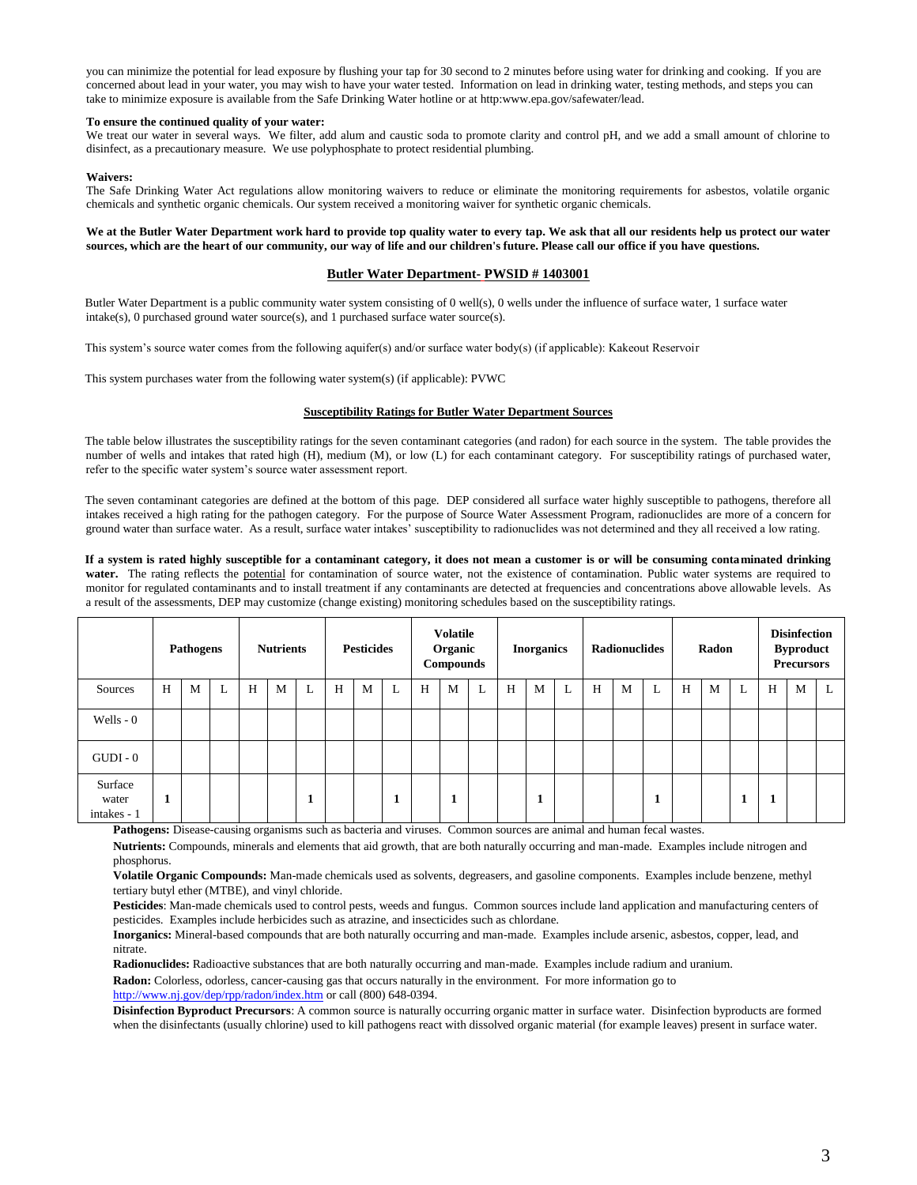you can minimize the potential for lead exposure by flushing your tap for 30 second to 2 minutes before using water for drinking and cooking. If you are concerned about lead in your water, you may wish to have your water tested. Information on lead in drinking water, testing methods, and steps you can take to minimize exposure is available from the Safe Drinking Water hotline or at http:www.epa.gov/safewater/lead.

## **To ensure the continued quality of your water:**

We treat our water in several ways. We filter, add alum and caustic soda to promote clarity and control pH, and we add a small amount of chlorine to disinfect, as a precautionary measure. We use polyphosphate to protect residential plumbing.

### **Waivers:**

The Safe Drinking Water Act regulations allow monitoring waivers to reduce or eliminate the monitoring requirements for asbestos, volatile organic chemicals and synthetic organic chemicals. Our system received a monitoring waiver for synthetic organic chemicals.

### **We at the Butler Water Department work hard to provide top quality water to every tap. We ask that all our residents help us protect our water sources, which are the heart of our community, our way of life and our children's future. Please call our office if you have questions.**

## **Butler Water Department- PWSID # 1403001**

Butler Water Department is a public community water system consisting of 0 well(s), 0 wells under the influence of surface water, 1 surface water intake(s), 0 purchased ground water source(s), and 1 purchased surface water source(s).

This system's source water comes from the following aquifer(s) and/or surface water body(s) (if applicable): Kakeout Reservoir

This system purchases water from the following water system(s) (if applicable): PVWC

## **Susceptibility Ratings for Butler Water Department Sources**

The table below illustrates the susceptibility ratings for the seven contaminant categories (and radon) for each source in the system. The table provides the number of wells and intakes that rated high (H), medium (M), or low (L) for each contaminant category. For susceptibility ratings of purchased water, refer to the specific water system's source water assessment report.

The seven contaminant categories are defined at the bottom of this page. DEP considered all surface water highly susceptible to pathogens, therefore all intakes received a high rating for the pathogen category. For the purpose of Source Water Assessment Program, radionuclides are more of a concern for ground water than surface water. As a result, surface water intakes' susceptibility to radionuclides was not determined and they all received a low rating.

**If a system is rated highly susceptible for a contaminant category, it does not mean a customer is or will be consuming contaminated drinking**  water. The rating reflects the potential for contamination of source water, not the existence of contamination. Public water systems are required to monitor for regulated contaminants and to install treatment if any contaminants are detected at frequencies and concentrations above allowable levels. As a result of the assessments, DEP may customize (change existing) monitoring schedules based on the susceptibility ratings.

|                                 | Pathogens |   | <b>Nutrients</b> |   | <b>Pesticides</b> |         |   | <b>Volatile</b><br>Organic<br><b>Compounds</b> |   | <b>Inorganics</b> |   |   | <b>Radionuclides</b> |   |   | Radon |   |   | <b>Disinfection</b><br><b>Byproduct</b><br><b>Precursors</b> |   |   |   |   |   |
|---------------------------------|-----------|---|------------------|---|-------------------|---------|---|------------------------------------------------|---|-------------------|---|---|----------------------|---|---|-------|---|---|--------------------------------------------------------------|---|---|---|---|---|
| Sources                         | H         | M | L                | H | M                 | L       | H | M                                              | L | H                 | M | L | H                    | M | L | H     | M | L | H                                                            | M | L | H | M | L |
| Wells - 0                       |           |   |                  |   |                   |         |   |                                                |   |                   |   |   |                      |   |   |       |   |   |                                                              |   |   |   |   |   |
| $GUDI - 0$                      |           |   |                  |   |                   |         |   |                                                |   |                   |   |   |                      |   |   |       |   |   |                                                              |   |   |   |   |   |
| Surface<br>water<br>intakes - 1 | 1         |   |                  |   |                   | ×,<br>л |   |                                                |   |                   |   |   |                      | л |   |       |   | и |                                                              |   |   |   |   |   |

**Pathogens:** Disease-causing organisms such as bacteria and viruses. Common sources are animal and human fecal wastes.

**Nutrients:** Compounds, minerals and elements that aid growth, that are both naturally occurring and man-made. Examples include nitrogen and phosphorus.

**Volatile Organic Compounds:** Man-made chemicals used as solvents, degreasers, and gasoline components. Examples include benzene, methyl tertiary butyl ether (MTBE), and vinyl chloride.

**Pesticides**: Man-made chemicals used to control pests, weeds and fungus. Common sources include land application and manufacturing centers of pesticides. Examples include herbicides such as atrazine, and insecticides such as chlordane.

**Inorganics:** Mineral-based compounds that are both naturally occurring and man-made. Examples include arsenic, asbestos, copper, lead, and nitrate.

**Radionuclides:** Radioactive substances that are both naturally occurring and man-made. Examples include radium and uranium.

**Radon:** Colorless, odorless, cancer-causing gas that occurs naturally in the environment. For more information go to http://www.nj.gov/dep/rpp/radon/index.htm or call (800) 648-0394.

**Disinfection Byproduct Precursors**: A common source is naturally occurring organic matter in surface water. Disinfection byproducts are formed when the disinfectants (usually chlorine) used to kill pathogens react with dissolved organic material (for example leaves) present in surface water.